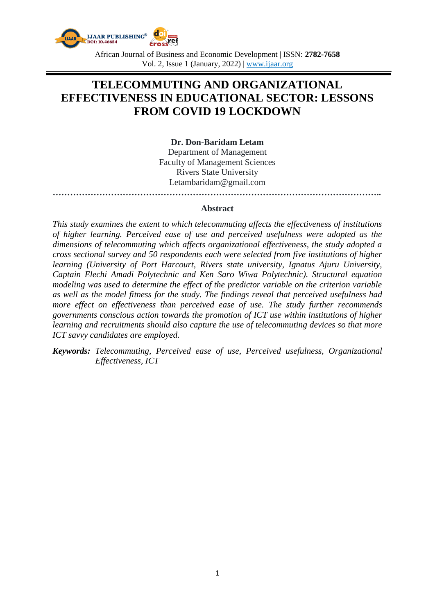

African Journal of Business and Economic Development | ISSN: **2782-7658** Vol. 2, Issue 1 (January, 2022) | www.ijaar.org

# **TELECOMMUTING AND ORGANIZATIONAL EFFECTIVENESS IN EDUCATIONAL SECTOR: LESSONS FROM COVID 19 LOCKDOWN**

**Dr. Don-Baridam Letam**

Department of Management Faculty of Management Sciences Rivers State University Letambaridam@gmail.com **…………………………………………………………………………………………………..**

#### **Abstract**

*This study examines the extent to which telecommuting affects the effectiveness of institutions of higher learning. Perceived ease of use and perceived usefulness were adopted as the dimensions of telecommuting which affects organizational effectiveness, the study adopted a cross sectional survey and 50 respondents each were selected from five institutions of higher learning (University of Port Harcourt, Rivers state university, Ignatus Ajuru University, Captain Elechi Amadi Polytechnic and Ken Saro Wiwa Polytechnic). Structural equation modeling was used to determine the effect of the predictor variable on the criterion variable as well as the model fitness for the study. The findings reveal that perceived usefulness had more effect on effectiveness than perceived ease of use. The study further recommends governments conscious action towards the promotion of ICT use within institutions of higher learning and recruitments should also capture the use of telecommuting devices so that more ICT savvy candidates are employed.*

*Keywords: Telecommuting, Perceived ease of use, Perceived usefulness, Organizational Effectiveness, ICT*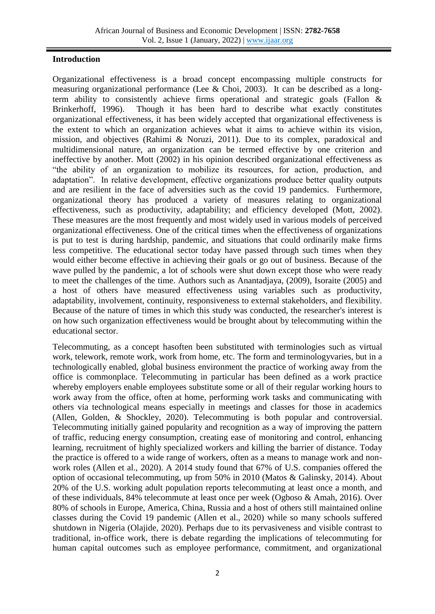# **Introduction**

Organizational effectiveness is a broad concept encompassing multiple constructs for measuring organizational performance (Lee & Choi, 2003). It can be described as a longterm ability to consistently achieve firms operational and strategic goals (Fallon & Brinkerhoff, 1996). Though it has been hard to describe what exactly constitutes organizational effectiveness, it has been widely accepted that organizational effectiveness is the extent to which an organization achieves what it aims to achieve within its vision, mission, and objectives (Rahimi & Noruzi, 2011). Due to its complex, paradoxical and multidimensional nature, an organization can be termed effective by one criterion and ineffective by another. Mott (2002) in his opinion described organizational effectiveness as "the ability of an organization to mobilize its resources, for action, production, and adaptation". In relative development, effective organizations produce better quality outputs and are resilient in the face of adversities such as the covid 19 pandemics. Furthermore, organizational theory has produced a variety of measures relating to organizational effectiveness, such as productivity, adaptability; and efficiency developed (Mott, 2002). These measures are the most frequently and most widely used in various models of perceived organizational effectiveness. One of the critical times when the effectiveness of organizations is put to test is during hardship, pandemic, and situations that could ordinarily make firms less competitive. The educational sector today have passed through such times when they would either become effective in achieving their goals or go out of business. Because of the wave pulled by the pandemic, a lot of schools were shut down except those who were ready to meet the challenges of the time. Authors such as Anantadjaya, (2009), Isoraite (2005) and a host of others have measured effectiveness using variables such as productivity, adaptability, involvement, continuity, responsiveness to external stakeholders, and flexibility. Because of the nature of times in which this study was conducted, the researcher's interest is on how such organization effectiveness would be brought about by telecommuting within the educational sector.

Telecommuting, as a concept hasoften been substituted with terminologies such as virtual work, telework, remote work, work from home, etc. The form and terminologyvaries, but in a technologically enabled, global business environment the practice of working away from the office is commonplace. Telecommuting in particular has been defined as a work practice whereby employers enable employees substitute some or all of their regular working hours to work away from the office, often at home, performing work tasks and communicating with others via technological means especially in meetings and classes for those in academics (Allen, Golden, & Shockley, 2020). Telecommuting is both popular and controversial. Telecommuting initially gained popularity and recognition as a way of improving the pattern of traffic, reducing energy consumption, creating ease of monitoring and control, enhancing learning, recruitment of highly specialized workers and killing the barrier of distance. Today the practice is offered to a wide range of workers, often as a means to manage work and nonwork roles (Allen et al., 2020). A 2014 study found that 67% of U.S. companies offered the option of occasional telecommuting, up from 50% in 2010 (Matos & Galinsky, 2014). About 20% of the U.S. working adult population reports telecommuting at least once a month, and of these individuals, 84% telecommute at least once per week (Ogboso & Amah, 2016). Over 80% of schools in Europe, America, China, Russia and a host of others still maintained online classes during the Covid 19 pandemic (Allen et al., 2020) while so many schools suffered shutdown in Nigeria (Olajide, 2020). Perhaps due to its pervasiveness and visible contrast to traditional, in-office work, there is debate regarding the implications of telecommuting for human capital outcomes such as employee performance, commitment, and organizational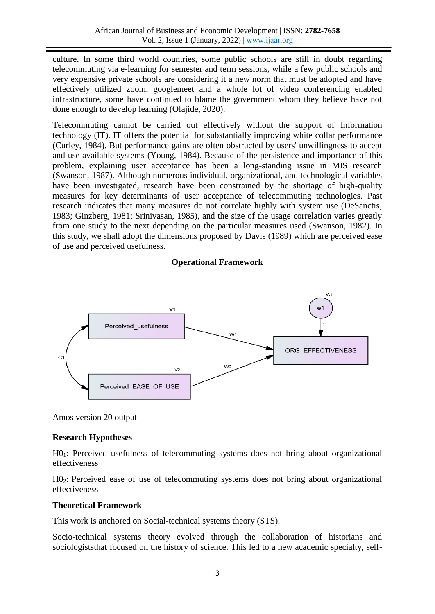culture. In some third world countries, some public schools are still in doubt regarding telecommuting via e-learning for semester and term sessions, while a few public schools and very expensive private schools are considering it a new norm that must be adopted and have effectively utilized zoom, googlemeet and a whole lot of video conferencing enabled infrastructure, some have continued to blame the government whom they believe have not done enough to develop learning (Olajide, 2020).

Telecommuting cannot be carried out effectively without the support of Information technology (IT). IT offers the potential for substantially improving white collar performance (Curley, 1984). But performance gains are often obstructed by users' unwillingness to accept and use available systems (Young, 1984). Because of the persistence and importance of this problem, explaining user acceptance has been a long-standing issue in MIS research (Swanson, 1987). Although numerous individual, organizational, and technological variables have been investigated, research have been constrained by the shortage of high-quality measures for key determinants of user acceptance of telecommuting technologies. Past research indicates that many measures do not correlate highly with system use (DeSanctis, 1983; Ginzberg, 1981; Srinivasan, 1985), and the size of the usage correlation varies greatly from one study to the next depending on the particular measures used (Swanson, 1982). In this study, we shall adopt the dimensions proposed by Davis (1989) which are perceived ease of use and perceived usefulness.

## **Operational Framework**



Amos version 20 output

# **Research Hypotheses**

H01: Perceived usefulness of telecommuting systems does not bring about organizational effectiveness

H02: Perceived ease of use of telecommuting systems does not bring about organizational effectiveness

## **Theoretical Framework**

This work is anchored on Social-technical systems theory (STS).

Socio-technical systems theory evolved through the collaboration of historians and sociologiststhat focused on the history of science. This led to a new academic specialty, self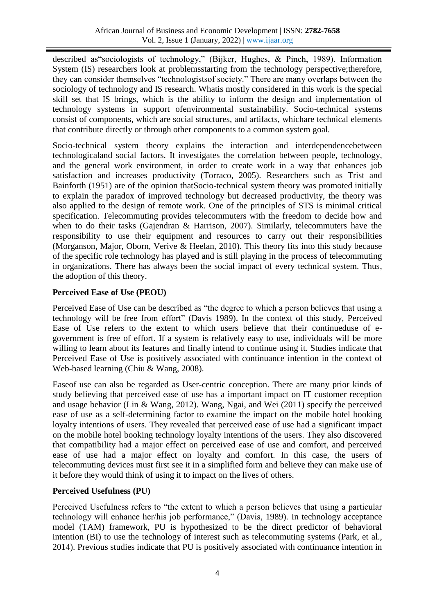described as"sociologists of technology," (Bijker, Hughes, & Pinch, 1989). Information System (IS) researchers look at problems tarting from the technology perspective; therefore, they can consider themselves "technologistsof society." There are many overlaps between the sociology of technology and IS research. Whatis mostly considered in this work is the special skill set that IS brings, which is the ability to inform the design and implementation of technology systems in support ofenvironmental sustainability. Socio-technical systems consist of components, which are social structures, and artifacts, whichare technical elements that contribute directly or through other components to a common system goal.

Socio-technical system theory explains the interaction and interdependencebetween technologicaland social factors. It investigates the correlation between people, technology, and the general work environment, in order to create work in a way that enhances job satisfaction and increases productivity (Torraco, 2005). Researchers such as Trist and Bainforth (1951) are of the opinion thatSocio-technical system theory was promoted initially to explain the paradox of improved technology but decreased productivity, the theory was also applied to the design of remote work. One of the principles of STS is minimal critical specification. Telecommuting provides telecommuters with the freedom to decide how and when to do their tasks (Gajendran & Harrison, 2007). Similarly, telecommuters have the responsibility to use their equipment and resources to carry out their responsibilities (Morganson, Major, Oborn, Verive & Heelan, 2010). This theory fits into this study because of the specific role technology has played and is still playing in the process of telecommuting in organizations. There has always been the social impact of every technical system. Thus, the adoption of this theory.

# **Perceived Ease of Use (PEOU)**

Perceived Ease of Use can be described as "the degree to which a person believes that using a technology will be free from effort" (Davis 1989). In the context of this study, Perceived Ease of Use refers to the extent to which users believe that their continueduse of egovernment is free of effort. If a system is relatively easy to use, individuals will be more willing to learn about its features and finally intend to continue using it. Studies indicate that Perceived Ease of Use is positively associated with continuance intention in the context of Web-based learning (Chiu & Wang, 2008).

Easeof use can also be regarded as User-centric conception. There are many prior kinds of study believing that perceived ease of use has a important impact on IT customer reception and usage behavior (Lin & Wang, 2012). Wang, Ngai, and Wei (2011) specify the perceived ease of use as a self-determining factor to examine the impact on the mobile hotel booking loyalty intentions of users. They revealed that perceived ease of use had a significant impact on the mobile hotel booking technology loyalty intentions of the users. They also discovered that compatibility had a major effect on perceived ease of use and comfort, and perceived ease of use had a major effect on loyalty and comfort. In this case, the users of telecommuting devices must first see it in a simplified form and believe they can make use of it before they would think of using it to impact on the lives of others.

# **Perceived Usefulness (PU)**

Perceived Usefulness refers to "the extent to which a person believes that using a particular technology will enhance her/his job performance," (Davis, 1989). In technology acceptance model (TAM) framework, PU is hypothesized to be the direct predictor of behavioral intention (BI) to use the technology of interest such as telecommuting systems (Park, et al., 2014). Previous studies indicate that PU is positively associated with continuance intention in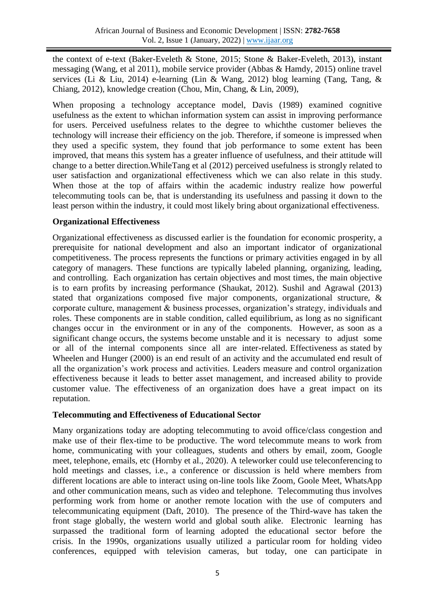the context of e-text (Baker-Eveleth & Stone, 2015; Stone & Baker-Eveleth, 2013), instant messaging (Wang, et al 2011), mobile service provider (Abbas & Hamdy, 2015) online travel services (Li & Liu, 2014) e-learning (Lin & Wang, 2012) blog learning (Tang, Tang, & Chiang, 2012), knowledge creation (Chou, Min, Chang, & Lin, 2009),

When proposing a technology acceptance model, Davis (1989) examined cognitive usefulness as the extent to whichan information system can assist in improving performance for users. Perceived usefulness relates to the degree to whichthe customer believes the technology will increase their efficiency on the job. Therefore, if someone is impressed when they used a specific system, they found that job performance to some extent has been improved, that means this system has a greater influence of usefulness, and their attitude will change to a better direction.WhileTang et al (2012) perceived usefulness is strongly related to user satisfaction and organizational effectiveness which we can also relate in this study. When those at the top of affairs within the academic industry realize how powerful telecommuting tools can be, that is understanding its usefulness and passing it down to the least person within the industry, it could most likely bring about organizational effectiveness.

## **Organizational Effectiveness**

Organizational effectiveness as discussed earlier is the foundation for economic prosperity, a prerequisite for national development and also an important indicator of organizational competitiveness. The process represents the functions or primary activities engaged in by all category of managers. These functions are typically labeled planning, organizing, leading, and controlling. Each organization has certain objectives and most times, the main objective is to earn profits by increasing performance (Shaukat, 2012). Sushil and Agrawal (2013) stated that organizations composed five major components, organizational structure, & corporate culture, management & business processes, organization's strategy, individuals and roles. These components are in stable condition, called equilibrium, as long as no significant changes occur in the environment or in any of the components. However, as soon as a significant change occurs, the systems become unstable and it is necessary to adjust some or all of the internal components since all are inter-related. Effectiveness as stated by Wheelen and Hunger (2000) is an end result of an activity and the accumulated end result of all the organization's work process and activities. Leaders measure and control organization effectiveness because it leads to better asset management, and increased ability to provide customer value. The effectiveness of an organization does have a great impact on its reputation.

## **Telecommuting and Effectiveness of Educational Sector**

Many organizations today are adopting telecommuting to avoid office/class congestion and make use of their flex-time to be productive. The word telecommute means to work from home, communicating with your colleagues, students and others by email, zoom, Google meet, telephone, emails, etc (Hornby et al., 2020). A teleworker could use teleconferencing to hold meetings and classes, i.e., a conference or discussion is held where members from different locations are able to interact using on-line tools like Zoom, Goole Meet, WhatsApp and other communication means, such as video and telephone. Telecommuting thus involves performing work from home or another remote location with the use of computers and telecommunicating equipment (Daft, 2010). The presence of the Third-wave has taken the front stage globally, the western world and global south alike. Electronic learning has surpassed the traditional form of learning adopted the educational sector before the crisis. In the 1990s, organizations usually utilized a particular room for holding video conferences, equipped with television cameras, but today, one can participate in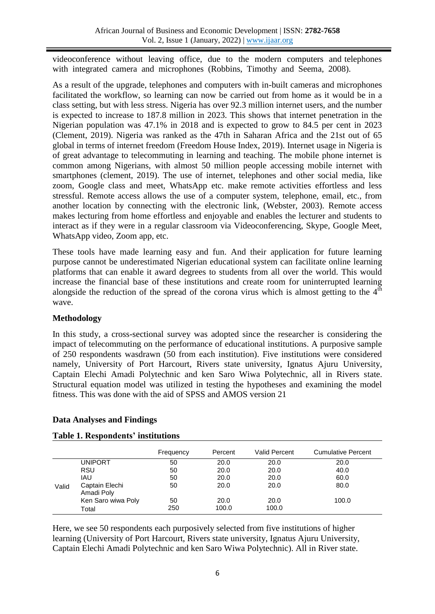videoconference without leaving office, due to the modern computers and telephones with integrated camera and microphones (Robbins, Timothy and Seema, 2008).

As a result of the upgrade, telephones and computers with in-built cameras and microphones facilitated the workflow, so learning can now be carried out from home as it would be in a class setting, but with less stress. Nigeria has over 92.3 million internet users, and the number is expected to increase to 187.8 million in 2023. This shows that internet penetration in the Nigerian population was 47.1% in 2018 and is expected to grow to 84.5 per cent in 2023 (Clement, 2019). Nigeria was ranked as the 47th in Saharan Africa and the 21st out of 65 global in terms of internet freedom (Freedom House Index, 2019). Internet usage in Nigeria is of great advantage to telecommuting in learning and teaching. The mobile phone internet is common among Nigerians, with almost 50 million people accessing mobile internet with smartphones (clement, 2019). The use of internet, telephones and other social media, like zoom, Google class and meet, WhatsApp etc. make remote activities effortless and less stressful. Remote access allows the use of a computer system, telephone, email, etc., from another location by connecting with the electronic link, (Webster, 2003). Remote access makes lecturing from home effortless and enjoyable and enables the lecturer and students to interact as if they were in a regular classroom via Videoconferencing, Skype, Google Meet, WhatsApp video, Zoom app, etc.

These tools have made learning easy and fun. And their application for future learning purpose cannot be underestimated Nigerian educational system can facilitate online learning platforms that can enable it award degrees to students from all over the world. This would increase the financial base of these institutions and create room for uninterrupted learning alongside the reduction of the spread of the corona virus which is almost getting to the  $4<sup>th</sup>$ wave.

# **Methodology**

In this study, a cross-sectional survey was adopted since the researcher is considering the impact of telecommuting on the performance of educational institutions. A purposive sample of 250 respondents wasdrawn (50 from each institution). Five institutions were considered namely, University of Port Harcourt, Rivers state university, Ignatus Ajuru University, Captain Elechi Amadi Polytechnic and ken Saro Wiwa Polytechnic, all in Rivers state. Structural equation model was utilized in testing the hypotheses and examining the model fitness. This was done with the aid of SPSS and AMOS version 21

# **Data Analyses and Findings**

|       |                              | Frequency | Percent | Valid Percent | Cumulative Percent |
|-------|------------------------------|-----------|---------|---------------|--------------------|
|       | <b>UNIPORT</b>               | 50        | 20.0    | 20.0          | 20.0               |
|       | <b>RSU</b>                   | 50        | 20.0    | 20.0          | 40.0               |
|       | <b>IAU</b>                   | 50        | 20.0    | 20.0          | 60.0               |
| Valid | Captain Elechi<br>Amadi Poly | 50        | 20.0    | 20.0          | 80.0               |
|       | Ken Saro wiwa Poly           | 50        | 20.0    | 20.0          | 100.0              |
|       | Total                        | 250       | 100.0   | 100.0         |                    |

## **Table 1. Respondents' institutions**

Here, we see 50 respondents each purposively selected from five institutions of higher learning (University of Port Harcourt, Rivers state university, Ignatus Ajuru University, Captain Elechi Amadi Polytechnic and ken Saro Wiwa Polytechnic). All in River state.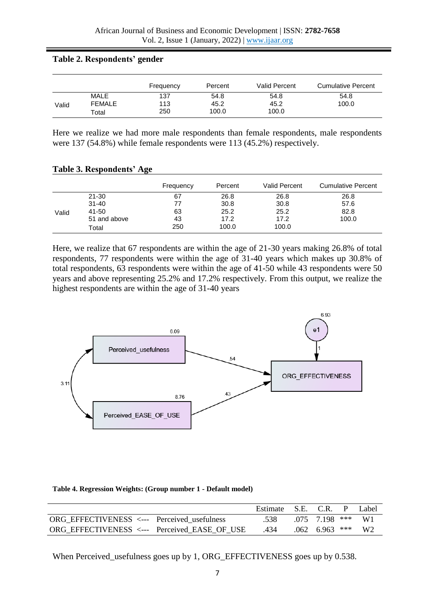### **Table 2. Respondents' gender**

|       |                       | Frequency  | Percent      | Valid Percent | Cumulative Percent |
|-------|-----------------------|------------|--------------|---------------|--------------------|
| Valid | MALE<br><b>FEMALE</b> | 137<br>113 | 54.8<br>45.2 | 54.8<br>45.2  | 54.8<br>100.0      |
|       | Total                 | 250        | 100.0        | 100.0         |                    |

Here we realize we had more male respondents than female respondents, male respondents were 137 (54.8%) while female respondents were 113 (45.2%) respectively.

| <b>Table 3. Respondents' Age</b> |  |  |  |  |  |
|----------------------------------|--|--|--|--|--|
|----------------------------------|--|--|--|--|--|

|       |              | Frequency | Percent | Valid Percent | <b>Cumulative Percent</b> |
|-------|--------------|-----------|---------|---------------|---------------------------|
|       | 21-30        | 67        | 26.8    | 26.8          | 26.8                      |
|       | $31 - 40$    | 77        | 30.8    | 30.8          | 57.6                      |
| Valid | 41-50        | 63        | 25.2    | 25.2          | 82.8                      |
|       | 51 and above | 43        | 17.2    | 17.2          | 100.0                     |
|       | Total        | 250       | 100.0   | 100.0         |                           |

Here, we realize that 67 respondents are within the age of 21-30 years making 26.8% of total respondents, 77 respondents were within the age of 31-40 years which makes up 30.8% of total respondents, 63 respondents were within the age of 41-50 while 43 respondents were 50 years and above representing 25.2% and 17.2% respectively. From this output, we realize the highest respondents are within the age of 31-40 years



#### **Table 4. Regression Weights: (Group number 1 - Default model)**

|                                                     | Estimate S.E. C.R. P |                     | Label |
|-----------------------------------------------------|----------------------|---------------------|-------|
| ORG EFFECTIVENESS $\leftarrow$ Perceived usefulness | .538                 | $075$ 7.198 *** W1  |       |
| ORG EFFECTIVENESS <--- Perceived EASE OF USE        | .434                 | $.062$ 6.963 *** W2 |       |

When Perceived\_usefulness goes up by 1, ORG\_EFFECTIVENESS goes up by 0.538.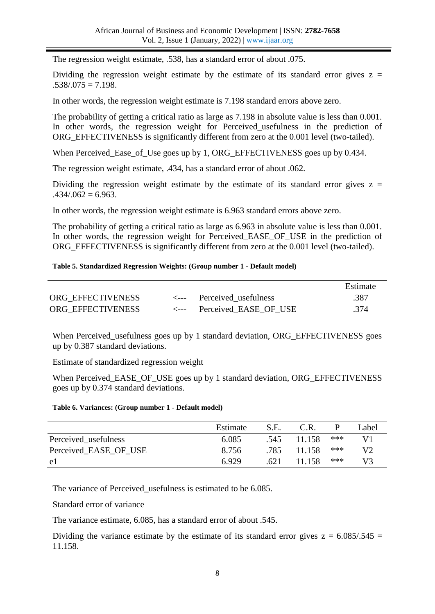The regression weight estimate, .538, has a standard error of about .075.

Dividing the regression weight estimate by the estimate of its standard error gives  $z =$  $.538/0.075 = 7.198.$ 

In other words, the regression weight estimate is 7.198 standard errors above zero.

The probability of getting a critical ratio as large as 7.198 in absolute value is less than 0.001. In other words, the regression weight for Perceived usefulness in the prediction of ORG EFFECTIVENESS is significantly different from zero at the 0.001 level (two-tailed).

When Perceived\_Ease\_of\_Use goes up by 1, ORG\_EFFECTIVENESS goes up by 0.434.

The regression weight estimate, .434, has a standard error of about .062.

Dividing the regression weight estimate by the estimate of its standard error gives  $z =$  $.434/062 = 6.963.$ 

In other words, the regression weight estimate is 6.963 standard errors above zero.

The probability of getting a critical ratio as large as 6.963 in absolute value is less than 0.001. In other words, the regression weight for Perceived EASE OF USE in the prediction of ORG\_EFFECTIVENESS is significantly different from zero at the 0.001 level (two-tailed).

### **Table 5. Standardized Regression Weights: (Group number 1 - Default model)**

|                   |                |                           | Estimate |
|-------------------|----------------|---------------------------|----------|
| ORG EFFECTIVENESS |                | <--- Perceived usefulness | .387     |
| ORG EFFECTIVENESS | <i>&lt;---</i> | Perceived EASE OF USE     | .374     |

When Perceived\_usefulness goes up by 1 standard deviation, ORG\_EFFECTIVENESS goes up by 0.387 standard deviations.

Estimate of standardized regression weight

When Perceived\_EASE\_OF\_USE goes up by 1 standard deviation, ORG\_EFFECTIVENESS goes up by 0.374 standard deviations.

#### **Table 6. Variances: (Group number 1 - Default model)**

|                       | Estimate | S.E. | C.R.   |     | Label |
|-----------------------|----------|------|--------|-----|-------|
| Perceived usefulness  | 6.085    | .545 | 11.158 | *** |       |
| Perceived EASE OF USE | 8.756    | .785 | 11.158 | *** | V2    |
| e1                    | 6.929    | .621 | 11.158 | *** | V3    |

The variance of Perceived\_usefulness is estimated to be 6.085.

Standard error of variance

The variance estimate, 6.085, has a standard error of about .545.

Dividing the variance estimate by the estimate of its standard error gives  $z = 6.085/0.545 =$ 11.158.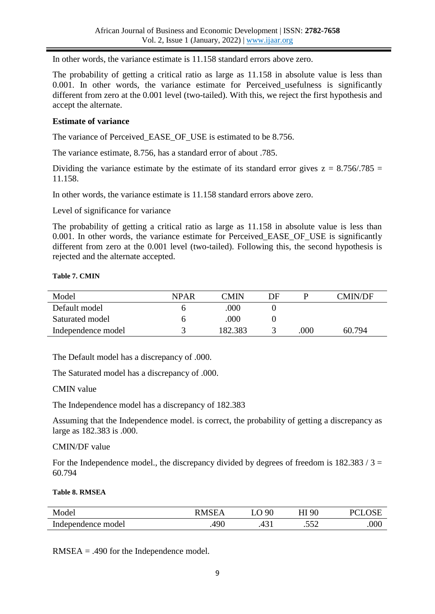In other words, the variance estimate is 11.158 standard errors above zero.

The probability of getting a critical ratio as large as 11.158 in absolute value is less than 0.001. In other words, the variance estimate for Perceived usefulness is significantly different from zero at the 0.001 level (two-tailed). With this, we reject the first hypothesis and accept the alternate.

## **Estimate of variance**

The variance of Perceived\_EASE\_OF\_USE is estimated to be 8.756.

The variance estimate, 8.756, has a standard error of about .785.

Dividing the variance estimate by the estimate of its standard error gives  $z = 8.756/0.785 =$ 11.158.

In other words, the variance estimate is 11.158 standard errors above zero.

Level of significance for variance

The probability of getting a critical ratio as large as 11.158 in absolute value is less than 0.001. In other words, the variance estimate for Perceived EASE OF USE is significantly different from zero at the 0.001 level (two-tailed). Following this, the second hypothesis is rejected and the alternate accepted.

### **Table 7. CMIN**

| Model              | <b>NPAR</b> | CMIN    | DE |      | <b>CMIN/DF</b> |
|--------------------|-------------|---------|----|------|----------------|
| Default model      |             | .000    |    |      |                |
| Saturated model    |             | .000    |    |      |                |
| Independence model |             | 182.383 |    | .000 | 60.794         |

The Default model has a discrepancy of .000.

The Saturated model has a discrepancy of .000.

CMIN value

The Independence model has a discrepancy of 182.383

Assuming that the Independence model. is correct, the probability of getting a discrepancy as large as 182.383 is .000.

## CMIN/DF value

For the Independence model., the discrepancy divided by degrees of freedom is  $182.383 / 3 =$ 60.794

### **Table 8. RMSEA**

| Model              | ∸                     | $\Omega$     | $\Omega$      |     |
|--------------------|-----------------------|--------------|---------------|-----|
| Independence model | $A$ Q $\Gamma$<br>サノい | $\sim$<br>᠇৴ | <<ດ<br>$\sim$ | 000 |

RMSEA = .490 for the Independence model.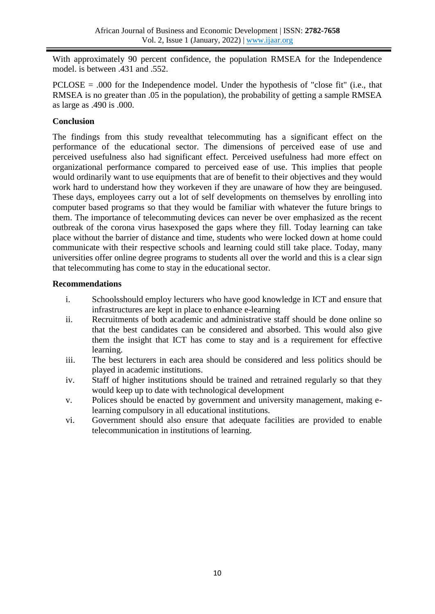With approximately 90 percent confidence, the population RMSEA for the Independence model. is between .431 and .552.

PCLOSE = .000 for the Independence model. Under the hypothesis of "close fit" (i.e., that RMSEA is no greater than .05 in the population), the probability of getting a sample RMSEA as large as .490 is .000.

# **Conclusion**

The findings from this study revealthat telecommuting has a significant effect on the performance of the educational sector. The dimensions of perceived ease of use and perceived usefulness also had significant effect. Perceived usefulness had more effect on organizational performance compared to perceived ease of use. This implies that people would ordinarily want to use equipments that are of benefit to their objectives and they would work hard to understand how they workeven if they are unaware of how they are beingused. These days, employees carry out a lot of self developments on themselves by enrolling into computer based programs so that they would be familiar with whatever the future brings to them. The importance of telecommuting devices can never be over emphasized as the recent outbreak of the corona virus hasexposed the gaps where they fill. Today learning can take place without the barrier of distance and time, students who were locked down at home could communicate with their respective schools and learning could still take place. Today, many universities offer online degree programs to students all over the world and this is a clear sign that telecommuting has come to stay in the educational sector.

## **Recommendations**

- i. Schoolsshould employ lecturers who have good knowledge in ICT and ensure that infrastructures are kept in place to enhance e-learning
- ii. Recruitments of both academic and administrative staff should be done online so that the best candidates can be considered and absorbed. This would also give them the insight that ICT has come to stay and is a requirement for effective learning.
- iii. The best lecturers in each area should be considered and less politics should be played in academic institutions.
- iv. Staff of higher institutions should be trained and retrained regularly so that they would keep up to date with technological development
- v. Polices should be enacted by government and university management, making elearning compulsory in all educational institutions.
- vi. Government should also ensure that adequate facilities are provided to enable telecommunication in institutions of learning.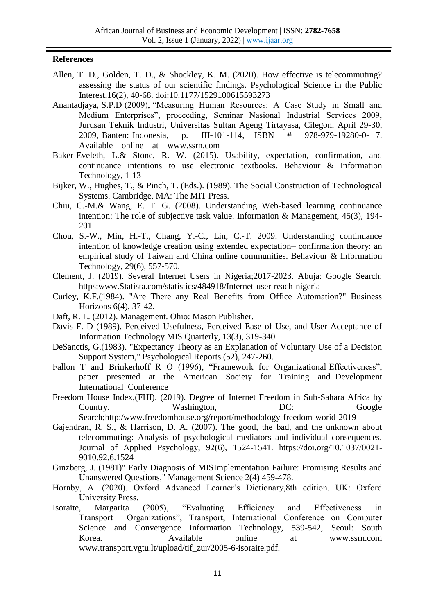## **References**

- Allen, T. D., Golden, T. D., & Shockley, K. M. (2020). How effective is telecommuting? assessing the status of our scientific findings. Psychological Science in the Public Interest,16(2), 40-68. doi:10.1177/1529100615593273
- Anantadjaya, S.P.D (2009), "Measuring Human Resources: A Case Study in Small and Medium Enterprises", proceeding, Seminar Nasional Industrial Services 2009, Jurusan Teknik Industri, Universitas Sultan Ageng Tirtayasa, Cilegon, April 29-30, 2009, Banten: Indonesia, p. III-101-114, ISBN # 978-979-19280-0- 7. Available online at www.ssrn.com
- Baker-Eveleth, L.& Stone, R. W. (2015). Usability, expectation, confirmation, and continuance intentions to use electronic textbooks. Behaviour & Information Technology, 1-13
- Bijker, W., Hughes, T., & Pinch, T. (Eds.). (1989). The Social Construction of Technological Systems. Cambridge, MA: The MIT Press.
- Chiu, C.-M.& Wang, E. T. G. (2008). Understanding Web-based learning continuance intention: The role of subjective task value. Information & Management, 45(3), 194- 201
- Chou, S.-W., Min, H.-T., Chang, Y.-C., Lin, C.-T. 2009. Understanding continuance intention of knowledge creation using extended expectation– confirmation theory: an empirical study of Taiwan and China online communities. Behaviour & Information Technology, 29(6), 557-570.
- Clement, J. (2019). Several Internet Users in Nigeria;2017-2023. Abuja: Google Search: https:www.Statista.com/statistics/484918/Internet-user-reach-nigeria
- Curley, K.F.(1984). "Are There any Real Benefits from Office Automation?" Business Horizons 6(4), 37-42.
- Daft, R. L. (2012). Management. Ohio: Mason Publisher.
- Davis F. D (1989). Perceived Usefulness, Perceived Ease of Use, and User Acceptance of Information Technology MIS Quarterly, 13(3), 319-340
- DeSanctis, G.(1983). "Expectancy Theory as an Explanation of Voluntary Use of a Decision Support System," Psychological Reports (52), 247-260.
- Fallon T and Brinkerhoff R O (1996), "Framework for Organizational Effectiveness", paper presented at the American Society for Training and Development International Conference
- Freedom House Index,(FHI). (2019). Degree of Internet Freedom in Sub-Sahara Africa by Country. Washington, DC: Google Search;http:/www.freedomhouse.org/report/methodology-freedom-worid-2019
- Gajendran, R. S., & Harrison, D. A. (2007). The good, the bad, and the unknown about telecommuting: Analysis of psychological mediators and individual consequences. Journal of Applied Psychology, 92(6), 1524-1541. https://doi.org/10.1037/0021- 9010.92.6.1524
- Ginzberg, J. (1981)" Early Diagnosis of MISImplementation Failure: Promising Results and Unanswered Questions," Management Science 2(4) 459-478.
- Hornby, A. (2020). Oxford Advanced Learner's Dictionary,8th edition. UK: Oxford University Press.
- Isoraite, Margarita (2005), "Evaluating Efficiency and Effectiveness in Transport Organizations", Transport, International Conference on Computer Science and Convergence Information Technology, 539-542, Seoul: South Korea. Available online at www.ssrn.com www.transport.vgtu.lt/upload/tif\_zur/2005-6-isoraite.pdf.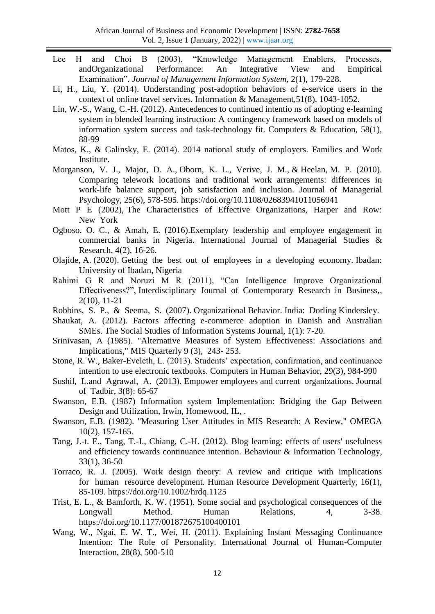- Lee H and Choi B (2003), "Knowledge Management Enablers, Processes, andOrganizational Performance: An Integrative View and Empirical Examination". *Journal of Management Information System*, 2(1), 179-228.
- Li, H., Liu, Y. (2014). Understanding post-adoption behaviors of e-service users in the context of online travel services. Information & Management,51(8), 1043-1052.
- Lin, W.-S., Wang, C.-H. (2012). Antecedences to continued intentio ns of adopting e-learning system in blended learning instruction: A contingency framework based on models of information system success and task-technology fit. Computers & Education, 58(1), 88-99
- Matos, K., & Galinsky, E. (2014). 2014 national study of employers. Families and Work Institute.
- Morganson, V. J., Major, D. A., Oborn, K. L., Verive, J. M., & Heelan, M. P. (2010). Comparing telework locations and traditional work arrangements: differences in work-life balance support, job satisfaction and inclusion. Journal of Managerial Psychology, 25(6), 578-595. https://doi.org/10.1108/02683941011056941
- Mott P E (2002), The Characteristics of Effective Organizations, Harper and Row: New York
- Ogboso, O. C., & Amah, E. (2016).Exemplary leadership and employee engagement in commercial banks in Nigeria. International Journal of Managerial Studies & Research, 4(2), 16-26.
- Olajide, A. (2020). Getting the best out of employees in a developing economy. Ibadan: University of Ibadan, Nigeria
- Rahimi G R and Noruzi M R (2011), "Can Intelligence Improve Organizational Effectiveness?", Interdisciplinary Journal of Contemporary Research in Business,, 2(10), 11-21
- Robbins, S. P., & Seema, S. (2007). Organizational Behavior. India: Dorling Kindersley.
- Shaukat, A. (2012). Factors affecting e-commerce adoption in Danish and Australian SMEs. The Social Studies of Information Systems Journal, 1(1): 7-20.
- Srinivasan, A (1985). "Alternative Measures of System Effectiveness: Associations and Implications," MIS Quarterly 9 (3), 243- 253.
- Stone, R. W., Baker-Eveleth, L. (2013). Students' expectation, confirmation, and continuance intention to use electronic textbooks. Computers in Human Behavior, 29(3), 984-990
- Sushil, L.and Agrawal, A. (2013). Empower employees and current organizations. Journal of Tadbir, 3(8): 65-67
- Swanson, E.B. (1987) Information system Implementation: Bridging the Gap Between Design and Utilization, Irwin, Homewood, IL, .
- Swanson, E.B. (1982). "Measuring User Attitudes in MIS Research: A Review," OMEGA 10(2), 157-165.
- Tang, J.-t. E., Tang, T.-I., Chiang, C.-H. (2012). Blog learning: effects of users' usefulness and efficiency towards continuance intention. Behaviour & Information Technology, 33(1), 36-50
- Torraco, R. J. (2005). Work design theory: A review and critique with implications for human resource development. Human Resource Development Quarterly, 16(1), 85-109. https://doi.org/10.1002/hrdq.1125
- Trist, E. L., & Bamforth, K. W. (1951). Some social and psychological consequences of the Longwall Method. Human Relations, 4, 3-38. https://doi.org/10.1177/001872675100400101
- Wang, W., Ngai, E. W. T., Wei, H. (2011). Explaining Instant Messaging Continuance Intention: The Role of Personality. International Journal of Human-Computer Interaction, 28(8), 500-510